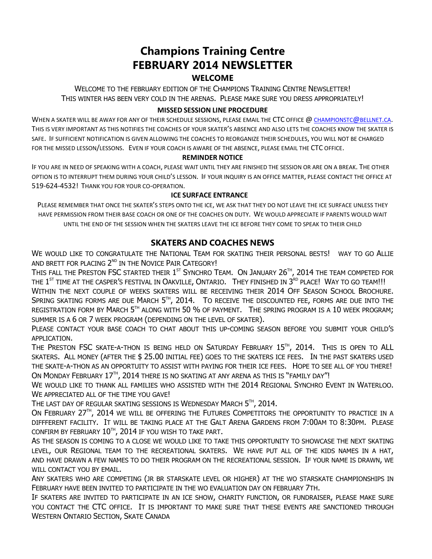# **Champions Training Centre FEBRUARY 2014 NEWSLETTER WELCOME**

WELCOME TO THE FEBRUARY EDITION OF THE CHAMPIONS TRAINING CENTRE NEWSLETTER! THIS WINTER HAS BEEN VERY COLD IN THE ARENAS. PLEASE MAKE SURE YOU DRESS APPROPRIATELY!

## **MISSED SESSION LINE PROCEDURE**

WHEN A SKATER WILL BE AWAY FOR ANY OF THEIR SCHEDULE SESSIONS, PLEASE EMAIL THE CTC OFFICE @ CHAMPIONSTC@BELLNET.CA. THIS IS VERY IMPORTANT AS THIS NOTIFIES THE COACHES OF YOUR SKATER'S ABSENCE AND ALSO LETS THE COACHES KNOW THE SKATER IS SAFE. IF SUFFICIENT NOTIFICATION IS GIVEN ALLOWING THE COACHES TO REORGANIZE THEIR SCHEDULES, YOU WILL NOT BE CHARGED FOR THE MISSED LESSON/LESSONS. EVEN IF YOUR COACH IS AWARE OF THE ABSENCE, PLEASE EMAIL THE CTC OFFICE.

### **REMINDER NOTICE**

IF YOU ARE IN NEED OF SPEAKING WITH A COACH, PLEASE WAIT UNTIL THEY ARE FINISHED THE SESSION OR ARE ON A BREAK. THE OTHER OPTION IS TO INTERRUPT THEM DURING YOUR CHILD'S LESSON. IF YOUR INQUIRY IS AN OFFICE MATTER, PLEASE CONTACT THE OFFICE AT 519-624-4532! THANK YOU FOR YOUR CO-OPERATION.

## **ICE SURFACE ENTRANCE**

PLEASE REMEMBER THAT ONCE THE SKATER'S STEPS ONTO THE ICE, WE ASK THAT THEY DO NOT LEAVE THE ICE SURFACE UNLESS THEY HAVE PERMISSION FROM THEIR BASE COACH OR ONE OF THE COACHES ON DUTY. WE WOULD APPRECIATE IF PARENTS WOULD WAIT UNTIL THE END OF THE SESSION WHEN THE SKATERS LEAVE THE ICE BEFORE THEY COME TO SPEAK TO THEIR CHILD

## **SKATERS AND COACHES NEWS**

WF WOULD LIKE TO CONGRATULATE THE NATIONAL TEAM FOR SKATING THEIR PERSONAL BESTS! WAY TO GO ALLIE AND BRETT FOR PLACING 2<sup>ND</sup> IN THE NOVICE PAIR CATEGORY!

This fall the Preston FSC started their  $1^\text{st}$  Synchro Team. On January 26 $^\text{th}$ , 2014 the team competed for THE  $1^\text{ST}$  time at the casper's festival in Oakville, Ontario. They finished in  $3^\text{\tiny RD}$  place! Way to go team!!! WITHIN THE NEXT COUPLE OF WEEKS SKATERS WILL BE RECEIVING THEIR 2014 OFF SEASON SCHOOL BROCHURE. Spring skating forms are due March 5th, 2014. To receive the discounted fee, forms are due into the REGISTRATION FORM BY  $M$ ARCH  $5^{\text{\tiny{TH}}}$  along with  $50$  % of payment. The spring program is a  $10$  week program; SUMMER IS A 6 OR 7 WEEK PROGRAM (DEPENDING ON THE LEVEL OF SKATER).

PLEASE CONTACT YOUR BASE COACH TO CHAT ABOUT THIS UP-COMING SEASON BEFORE YOU SUBMIT YOUR CHILD'S APPLICATION.

The Preston FSC skate-a-thon is being held on Saturday February  $15^{\text{\tiny{TH}}}$ , 2014. This is open to ALL SKATERS. ALL MONEY (AFTER THE \$ 25.00 INITIAL FEE) GOES TO THE SKATERS ICE FEES. IN THE PAST SKATERS USED THE SKATE-A-THON AS AN OPPORTUITY TO ASSIST WITH PAYING FOR THEIR ICE FEES. HOPE TO SEE ALL OF YOU THERE! On Monday February  $17^{\text{\tiny{TH}}}$ , 2014 there is no skating at any arena as this is "family day"!

WE WOULD LIKE TO THANK ALL FAMILIES WHO ASSISTED WITH THE 2014 REGIONAL SYNCHRO EVENT IN WATERLOO. WE APPRECIATED ALL OF THE TIME YOU GAVE!

The last day of regular skating sessions is Wednesday March  $5<sup>th</sup>$ , 2014.

On February 27TH, 2014 we will be offering the Futures Competitors the opportunity to practice in a DIFFFERENT FACILITY. IT WILL BE TAKING PLACE AT THE GALT ARENA GARDENS FROM 7:00AM TO 8:30PM. PLEASE confirm by february  $10^{\text{\tiny{TH}}}$ , 2014 if you wish to take part.

AS THE SEASON IS COMING TO A CLOSE WE WOULD LIKE TO TAKE THIS OPPORTUNITY TO SHOWCASE THE NEXT SKATING LEVEL, OUR REGIONAL TEAM TO THE RECREATIONAL SKATERS. WE HAVE PUT ALL OF THE KIDS NAMES IN A HAT, AND HAVE DRAWN A FEW NAMES TO DO THEIR PROGRAM ON THE RECREATIONAL SESSION. IF YOUR NAME IS DRAWN, WE WILL CONTACT YOU BY EMAIL.

ANY SKATERS WHO ARE COMPETING (JR BR STARSKATE LEVEL OR HIGHER) AT THE WO STARSKATE CHAMPIONSHIPS IN FEBRUARY HAVE BEEN INVITED TO PARTICIPATE IN THE WO EVALUATION DAY ON FEBRUARY 7TH.

IF SKATERS ARE INVITED TO PARTICIPATE IN AN ICE SHOW, CHARITY FUNCTION, OR FUNDRAISER, PLEASE MAKE SURE YOU CONTACT THE CTC OFFICE. IT IS IMPORTANT TO MAKE SURE THAT THESE EVENTS ARE SANCTIONED THROUGH WESTERN ONTARIO SECTION, SKATE CANADA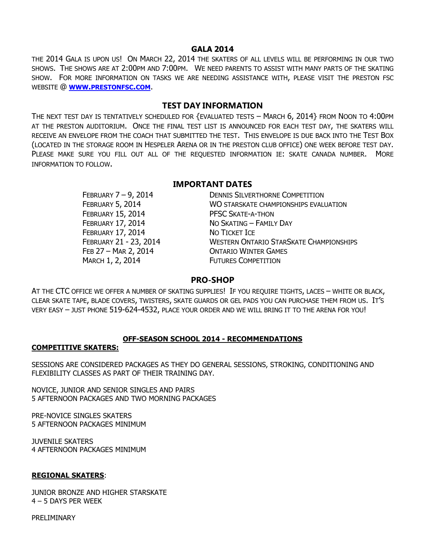#### **GALA 2014**

THE 2014 GALA IS UPON US! ON MARCH 22, 2014 THE SKATERS OF ALL LEVELS WILL BE PERFORMING IN OUR TWO SHOWS. THE SHOWS ARE AT 2:00PM AND 7:00PM. WE NEED PARENTS TO ASSIST WITH MANY PARTS OF THE SKATING SHOW. FOR MORE INFORMATION ON TASKS WE ARE NEEDING ASSISTANCE WITH, PLEASE VISIT THE PRESTON FSC WEBSITE @ **WWW.PRESTONFSC.COM**.

## **TEST DAY INFORMATION**

THE NEXT TEST DAY IS TENTATIVELY SCHEDULED FOR {EVALUATED TESTS – MARCH 6, 2014} FROM NOON TO 4:00PM AT THE PRESTON AUDITORIUM. ONCE THE FINAL TEST LIST IS ANNOUNCED FOR EACH TEST DAY, THE SKATERS WILL RECEIVE AN ENVELOPE FROM THE COACH THAT SUBMITTED THE TEST. THIS ENVELOPE IS DUE BACK INTO THE TEST BOX (LOCATED IN THE STORAGE ROOM IN HESPELER ARENA OR IN THE PRESTON CLUB OFFICE) ONE WEEK BEFORE TEST DAY. PLEASE MAKE SURE YOU FILL OUT ALL OF THE REQUESTED INFORMATION IE: SKATE CANADA NUMBER. MORE INFORMATION TO FOLLOW.

## **IMPORTANT DATES**

| FEBRUARY 7-9, 2014       | <b>DENNIS SILVERTHORNE COMPETITION</b>         |
|--------------------------|------------------------------------------------|
| FEBRUARY 5, 2014         | WO STARSKATE CHAMPIONSHIPS EVALUATION          |
| <b>FEBRUARY 15, 2014</b> | <b>PFSC SKATE-A-THON</b>                       |
| <b>FEBRUARY 17, 2014</b> | NO SKATING - FAMILY DAY                        |
| <b>FEBRUARY 17, 2014</b> | NO TICKET ICE                                  |
| FEBRUARY 21 - 23, 2014   | <b>WESTERN ONTARIO STARSKATE CHAMPIONSHIPS</b> |
| FEB 27 - MAR 2, 2014     | <b>ONTARIO WINTER GAMES</b>                    |
| MARCH 1, 2, 2014         | <b>FUTURES COMPETITION</b>                     |

## **PRO-SHOP**

AT THE CTC OFFICE WE OFFER A NUMBER OF SKATING SUPPLIES! IF YOU REQUIRE TIGHTS, LACES – WHITE OR BLACK, CLEAR SKATE TAPE, BLADE COVERS, TWISTERS, SKATE GUARDS OR GEL PADS YOU CAN PURCHASE THEM FROM US. IT'S VERY EASY – JUST PHONE 519-624-4532, PLACE YOUR ORDER AND WE WILL BRING IT TO THE ARENA FOR YOU!

### **OFF-SEASON SCHOOL 2014 - RECOMMENDATIONS**

### **COMPETITIVE SKATERS:**

SESSIONS ARE CONSIDERED PACKAGES AS THEY DO GENERAL SESSIONS, STROKING, CONDITIONING AND FLEXIBILITY CLASSES AS PART OF THEIR TRAINING DAY.

NOVICE, JUNIOR AND SENIOR SINGLES AND PAIRS 5 AFTERNOON PACKAGES AND TWO MORNING PACKAGES

PRE-NOVICE SINGLES SKATERS 5 AFTERNOON PACKAGES MINIMUM

JUVENILE SKATERS 4 AFTERNOON PACKAGES MINIMUM

#### **REGIONAL SKATERS**:

JUNIOR BRONZE AND HIGHER STARSKATE 4 – 5 DAYS PER WEEK

PRELIMINARY